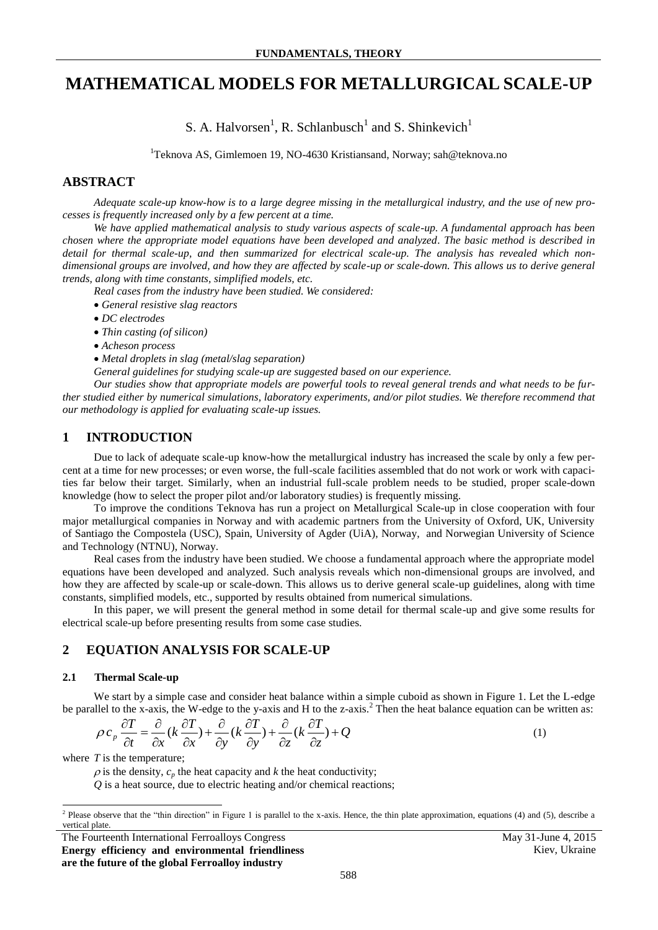# **MATHEMATICAL MODELS FOR METALLURGICAL SCALE-UP**

S. A. Halvorsen<sup>1</sup>, R. Schlanbusch<sup>1</sup> and S. Shinkevich<sup>1</sup>

<sup>1</sup>Teknova AS, Gimlemoen 19, NO-4630 Kristiansand, Norway; sah@teknova.no

# **ABSTRACT**

*Adequate scale-up know-how is to a large degree missing in the metallurgical industry, and the use of new processes is frequently increased only by a few percent at a time.*

*We have applied mathematical analysis to study various aspects of scale-up. A fundamental approach has been chosen where the appropriate model equations have been developed and analyzed. The basic method is described in detail for thermal scale-up, and then summarized for electrical scale-up. The analysis has revealed which nondimensional groups are involved, and how they are affected by scale-up or scale-down. This allows us to derive general trends, along with time constants, simplified models, etc.*

*Real cases from the industry have been studied. We considered:*

- *General resistive slag reactors*
- *DC electrodes*
- *Thin casting (of silicon)*
- *Acheson process*
- *Metal droplets in slag (metal/slag separation)*

*General guidelines for studying scale-up are suggested based on our experience.*

*Our studies show that appropriate models are powerful tools to reveal general trends and what needs to be further studied either by numerical simulations, laboratory experiments, and/or pilot studies. We therefore recommend that our methodology is applied for evaluating scale-up issues.*

### **1 INTRODUCTION**

Due to lack of adequate scale-up know-how the metallurgical industry has increased the scale by only a few percent at a time for new processes; or even worse, the full-scale facilities assembled that do not work or work with capacities far below their target. Similarly, when an industrial full-scale problem needs to be studied, proper scale-down knowledge (how to select the proper pilot and/or laboratory studies) is frequently missing.

To improve the conditions Teknova has run a project on Metallurgical Scale-up in close cooperation with four major metallurgical companies in Norway and with academic partners from the University of Oxford, UK, University of Santiago the Compostela (USC), Spain, University of Agder (UiA), Norway, and Norwegian University of Science and Technology (NTNU), Norway.

Real cases from the industry have been studied. We choose a fundamental approach where the appropriate model equations have been developed and analyzed. Such analysis reveals which non-dimensional groups are involved, and how they are affected by scale-up or scale-down. This allows us to derive general scale-up guidelines, along with time constants, simplified models, etc., supported by results obtained from numerical simulations.

In this paper, we will present the general method in some detail for thermal scale-up and give some results for electrical scale-up before presenting results from some case studies.

# **2 EQUATION ANALYSIS FOR SCALE-UP**

#### **2.1 Thermal Scale-up**

We start by a simple case and consider heat balance within a simple cuboid as shown in Figure 1. Let the L-edge be parallel to the x-axis, the W-edge to the y-axis and H to the z-axis.<sup>2</sup> Then the heat balance equation can be written as:

$$
\rho c_p \frac{\partial T}{\partial t} = \frac{\partial}{\partial x} (k \frac{\partial T}{\partial x}) + \frac{\partial}{\partial y} (k \frac{\partial T}{\partial y}) + \frac{\partial}{\partial z} (k \frac{\partial T}{\partial z}) + Q
$$
\n(1)

where *T* is the temperature;

 $\rho$  is the density,  $c_p$  the heat capacity and *k* the heat conductivity;

*Q* is a heat source, due to electric heating and/or chemical reactions;

The Fourteenth International Ferroalloys Congress May 31-June 4, 2015

Please observe that the "thin direction" in Figure 1 is parallel to the x-axis. Hence, the thin plate approximation, equations (4) and (5), describe a vertical plate.

**Energy efficiency and environmental friendliness are the future of the global Ferroalloy industry**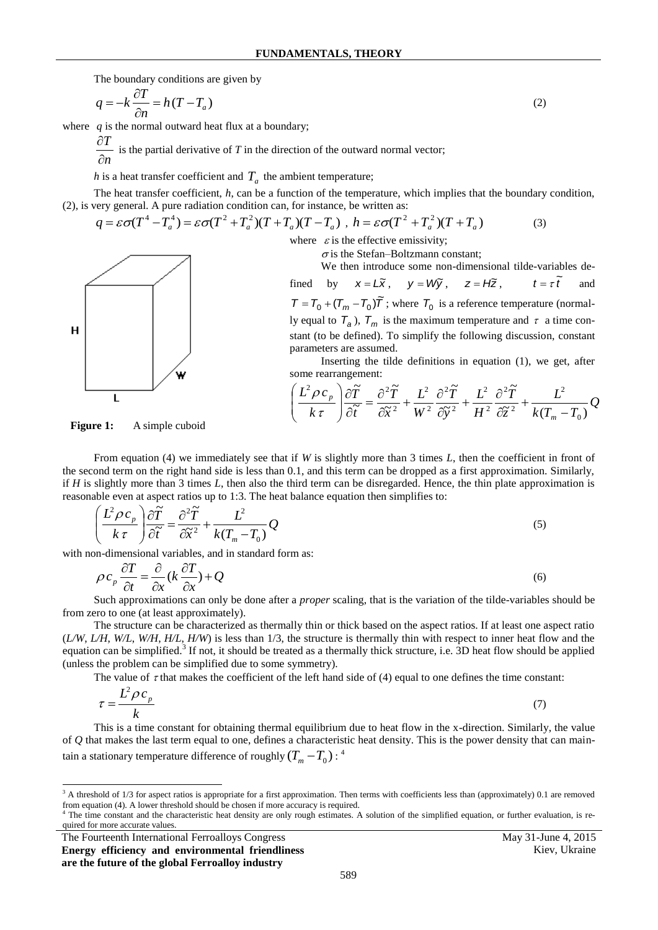The boundary conditions are given by

$$
q = -k\frac{\partial T}{\partial n} = h(T - T_a)
$$
 (2)

where  $q$  is the normal outward heat flux at a boundary;

*n T*  $\partial$  $\frac{\partial T}{\partial T}$  is the partial derivative of *T* in the direction of the outward normal vector;

*h* is a heat transfer coefficient and  $T_a$  the ambient temperature;

The heat transfer coefficient, *h*, can be a function of the temperature, which implies that the boundary condition, (2), is very general. A pure radiation condition can, for instance, be written as: heat transfer coefficient, *h*, can be a function of the temperature, which implies that<br>general. A pure radiation condition can, for instance, be written as:<br> $\varepsilon \sigma (T^4 - T_a^4) = \varepsilon \sigma (T^2 + T_a^2)(T + T_a)(T - T_a)$ ,  $h = \varepsilon \sigma (T^2 + T_a$ 

$$
q = \varepsilon \sigma (T^4 - T_a^4) = \varepsilon \sigma (T^2 + T_a^2)(T + T_a)(T - T_a) , h = \varepsilon \sigma (T^2 + T_a^2)(T + T_a)
$$
 (3)

where  $\varepsilon$  is the effective emissivity;

 $\sigma$  is the Stefan–Boltzmann constant;



We then introduce some non-dimensional tilde-variables defined by  $x = L\tilde{x}$ ,  $y = W\tilde{y}$ ,  $z = H\tilde{z}$ ,  $t = \tau \tilde{y}$  $=\tau \widetilde{t}$ and  $T = T_0 + (T_m - T_0)\tilde{T}$ ; where  $T_0$  is a reference temperature (normally equal to  $T_a$ ),  $T_m$  is the maximum temperature and  $\tau$  a time constant (to be defined). To simplify the following discussion, constant parameters are assumed.

Inserting the tilde definitions in equation (1), we get, after some rearrangement:

$$
\left(\frac{L^2 \rho c_p}{k \tau}\right) \frac{\partial \widetilde{T}}{\partial \widetilde{t}} = \frac{\partial^2 \widetilde{T}}{\partial \widetilde{x}^2} + \frac{L^2}{W^2} \frac{\partial^2 \widetilde{T}}{\partial \widetilde{y}^2} + \frac{L^2}{H^2} \frac{\partial^2 \widetilde{T}}{\partial \widetilde{z}^2} + \frac{L^2}{k(T_m - T_0)} Q
$$

**Figure 1:** A simple cuboid

From equation (4) we immediately see that if *W* is slightly more than 3 times *L*, then the coefficient in front of the second term on the right hand side is less than 0.1, and this term can be dropped as a first approximation. Similarly, if *H* is slightly more than 3 times *L*, then also the third term can be disregarded. Hence, the thin plate approximation is reasonable even at aspect ratios up to 1:3. The heat balance equation then simplifies to:

$$
\left(\frac{L^2 \rho c_p}{k \tau}\right) \frac{\partial \tilde{T}}{\partial \tilde{t}} = \frac{\partial^2 \tilde{T}}{\partial \tilde{x}^2} + \frac{L^2}{k(T_m - T_0)} Q \tag{5}
$$

with non-dimensional variables, and in standard form as:

$$
\rho c_p \frac{\partial T}{\partial t} = \frac{\partial}{\partial x} (k \frac{\partial T}{\partial x}) + Q \tag{6}
$$

Such approximations can only be done after a *proper* scaling, that is the variation of the tilde-variables should be from zero to one (at least approximately).

The structure can be characterized as thermally thin or thick based on the aspect ratios. If at least one aspect ratio (*L/W*, *L/H*, *W/L*, *W/H*, *H/L*, *H/W*) is less than 1/3, the structure is thermally thin with respect to inner heat flow and the equation can be simplified.<sup>3</sup> If not, it should be treated as a thermally thick structure, i.e. 3D heat flow should be applied (unless the problem can be simplified due to some symmetry).

The value of  $\tau$  that makes the coefficient of the left hand side of (4) equal to one defines the time constant:

$$
\tau = \frac{L^2 \rho c_p}{k} \tag{7}
$$

This is a time constant for obtaining thermal equilibrium due to heat flow in the x-direction. Similarly, the value of *Q* that makes the last term equal to one, defines a characteristic heat density. This is the power density that can maintain a stationary temperature difference of roughly  $(T_m - T_0)$  : <sup>4</sup>

The Fourteenth International Ferroalloys Congress May 31-June 4, 2015

-

 $3$  A threshold of 1/3 for aspect ratios is appropriate for a first approximation. Then terms with coefficients less than (approximately) 0.1 are removed from equation (4). A lower threshold should be chosen if more accuracy is required.

The time constant and the characteristic heat density are only rough estimates. A solution of the simplified equation, or further evaluation, is required for more accurate values.

**Energy efficiency and environmental friendliness are the future of the global Ferroalloy industry**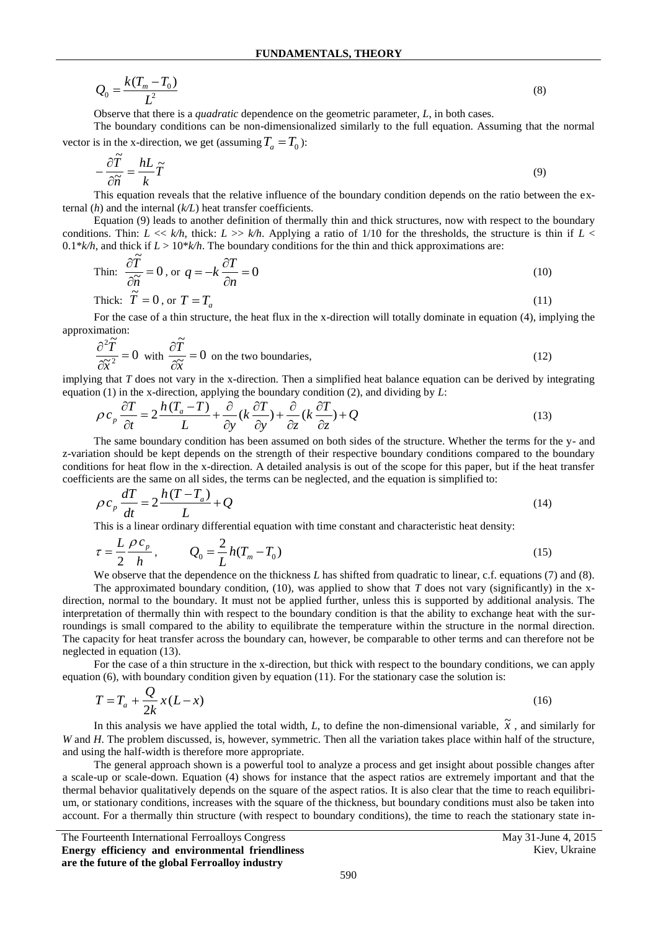$$
Q_0 = \frac{k(T_m - T_0)}{L^2} \tag{8}
$$

Observe that there is a *quadratic* dependence on the geometric parameter, *L*, in both cases.

The boundary conditions can be non-dimensionalized similarly to the full equation. Assuming that the normal vector is in the x-direction, we get (assuming  $T_a = T_0$ ):

$$
-\frac{\partial \widetilde{T}}{\partial \widetilde{n}} = \frac{h}{k} \widetilde{T}
$$
\n(9)

This equation reveals that the relative influence of the boundary condition depends on the ratio between the external (*h*) and the internal (*k/L*) heat transfer coefficients.

Equation (9) leads to another definition of thermally thin and thick structures, now with respect to the boundary conditions. Thin:  $L \ll k/h$ , thick:  $L \gg k/h$ . Applying a ratio of 1/10 for the thresholds, the structure is thin if  $L \ll$ 0.1\**k/h*, and thick if  $L > 10$ \**k/h*. The boundary conditions for the thin and thick approximations are:

$$
\text{thin: } \frac{\partial \tilde{T}}{\partial \tilde{n}} = 0 \text{, or } q = -k \frac{\partial T}{\partial n} = 0 \tag{10}
$$

$$
\text{Thick:} \quad \widetilde{T} = 0 \text{, or } T = T_a \tag{11}
$$

For the case of a thin structure, the heat flux in the x-direction will totally dominate in equation (4), implying the approximation:<br> $\widehat{\sigma}^2 \widetilde{\tau}$ 

$$
\frac{\partial^2 \tilde{T}}{\partial \tilde{x}^2} = 0 \text{ with } \frac{\partial \tilde{T}}{\partial \tilde{x}} = 0 \text{ on the two boundaries,}
$$
\n(12)

implying that *T* does not vary in the x-direction. Then a simplified heat balance equation can be derived by integrating equation (1) in the x-direction, applying the boundary condition (2), and dividing by *L*:

$$
\rho c_p \frac{\partial T}{\partial t} = 2 \frac{h(T_a - T)}{L} + \frac{\partial}{\partial y} (k \frac{\partial T}{\partial y}) + \frac{\partial}{\partial z} (k \frac{\partial T}{\partial z}) + Q \tag{13}
$$

The same boundary condition has been assumed on both sides of the structure. Whether the terms for the y- and z-variation should be kept depends on the strength of their respective boundary conditions compared to the boundary conditions for heat flow in the x-direction. A detailed analysis is out of the scope for this paper, but if the heat transfer coefficients are the same on all sides, the terms can be neglected, and the equation is simplified to:

$$
\rho c_p \frac{dT}{dt} = 2\frac{h(T - T_a)}{L} + Q \tag{14}
$$

This is a linear ordinary differential equation with time constant and characteristic heat density:

$$
\tau = \frac{L}{2} \frac{\rho c_p}{h}, \qquad Q_0 = \frac{2}{L} h (T_m - T_0)
$$
\n(15)

We observe that the dependence on the thickness L has shifted from quadratic to linear, c.f. equations (7) and (8). The approximated boundary condition, (10), was applied to show that *T* does not vary (significantly) in the xdirection, normal to the boundary. It must not be applied further, unless this is supported by additional analysis. The interpretation of thermally thin with respect to the boundary condition is that the ability to exchange heat with the surroundings is small compared to the ability to equilibrate the temperature within the structure in the normal direction. The capacity for heat transfer across the boundary can, however, be comparable to other terms and can therefore not be neglected in equation (13).

For the case of a thin structure in the x-direction, but thick with respect to the boundary conditions, we can apply equation (6), with boundary condition given by equation (11). For the stationary case the solution is:

$$
T = T_a + \frac{Q}{2k}x(L-x) \tag{16}
$$

In this analysis we have applied the total width, *L*, to define the non-dimensional variable,  $\tilde{x}$ , and similarly for *W* and *H*. The problem discussed, is, however, symmetric. Then all the variation takes place within half of the structure, and using the half-width is therefore more appropriate.

The general approach shown is a powerful tool to analyze a process and get insight about possible changes after a scale-up or scale-down. Equation (4) shows for instance that the aspect ratios are extremely important and that the thermal behavior qualitatively depends on the square of the aspect ratios. It is also clear that the time to reach equilibrium, or stationary conditions, increases with the square of the thickness, but boundary conditions must also be taken into account. For a thermally thin structure (with respect to boundary conditions), the time to reach the stationary state in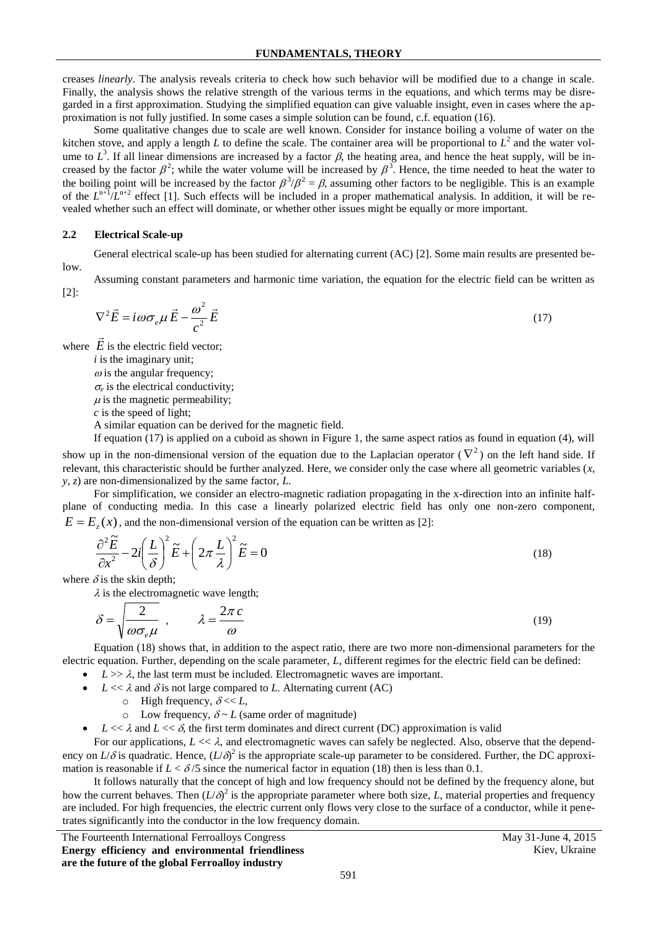creases *linearly*. The analysis reveals criteria to check how such behavior will be modified due to a change in scale. Finally, the analysis shows the relative strength of the various terms in the equations, and which terms may be disregarded in a first approximation. Studying the simplified equation can give valuable insight, even in cases where the approximation is not fully justified. In some cases a simple solution can be found, c.f. equation (16).

Some qualitative changes due to scale are well known. Consider for instance boiling a volume of water on the kitchen stove, and apply a length  $L$  to define the scale. The container area will be proportional to  $L^2$  and the water volume to  $L^3$ . If all linear dimensions are increased by a factor  $\beta$ , the heating area, and hence the heat supply, will be increased by the factor  $\beta^2$ ; while the water volume will be increased by  $\beta^3$ . Hence, the time needed to heat the water to the boiling point will be increased by the factor  $\beta^3/\beta^2 = \beta$ , assuming other factors to be negligible. This is an example of the  $L^{n+1}/L^{n+2}$  effect [\[1\].](#page-9-0) Such effects will be included in a proper mathematical analysis. In addition, it will be revealed whether such an effect will dominate, or whether other issues might be equally or more important.

### **2.2 Electrical Scale-up**

General electrical scale-up has been studied for alternating current (AC) [\[2\].](#page-9-1) Some main results are presented below.

Assuming constant parameters and harmonic time variation, the equation for the electric field can be written as [\[2\]:](#page-9-1)

$$
\nabla^2 \vec{E} = i\omega \sigma_e \mu \vec{E} - \frac{\omega^2}{c^2} \vec{E}
$$
 (17)

where *E* is the electric field vector;

*i* is the imaginary unit;

 $\omega$  is the angular frequency;

 $\sigma_e$  is the electrical conductivity;

 $\mu$  is the magnetic permeability;

*c* is the speed of light;

A similar equation can be derived for the magnetic field.

If equation (17) is applied on a cuboid as shown in Figure 1, the same aspect ratios as found in equation (4), will show up in the non-dimensional version of the equation due to the Laplacian operator  $(\nabla^2)$  on the left hand side. If relevant, this characteristic should be further analyzed. Here, we consider only the case where all geometric variables (*x*, *y*, *z*) are non-dimensionalized by the same factor, *L*.

For simplification, we consider an electro-magnetic radiation propagating in the x-direction into an infinite halfplane of conducting media. In this case a linearly polarized electric field has only one non-zero component,  $E = E_z(x)$ , and the non-dimensional version of the equation can be written as [\[2\]:](#page-9-1)

$$
\frac{\partial^2 \widetilde{E}}{\partial x^2} - 2i \left(\frac{L}{\delta}\right)^2 \widetilde{E} + \left(2\pi \frac{L}{\lambda}\right)^2 \widetilde{E} = 0
$$
\n(18)

where  $\delta$  is the skin depth;

 $\lambda$  is the electromagnetic wave length;

$$
\delta = \sqrt{\frac{2}{\omega \sigma_e \mu}} \,, \qquad \lambda = \frac{2\pi c}{\omega} \tag{19}
$$

Equation (18) shows that, in addition to the aspect ratio, there are two more non-dimensional parameters for the electric equation. Further, depending on the scale parameter, *L*, different regimes for the electric field can be defined:

- $\bullet$  *L* >>  $\lambda$ , the last term must be included. Electromagnetic waves are important.
- $L \ll \lambda$  and  $\delta$  is not large compared to *L*. Alternating current (AC)
	- $\circ$  High frequency,  $\delta \ll L$ ,
	- o Low frequency,  $\delta \sim L$  (same order of magnitude)
- $L \ll \lambda$  and  $L \ll \delta$ , the first term dominates and direct current (DC) approximation is valid

For our applications,  $L \ll \lambda$ , and electromagnetic waves can safely be neglected. Also, observe that the dependency on  $L/\delta$  is quadratic. Hence,  $(L/\delta)^2$  is the appropriate scale-up parameter to be considered. Further, the DC approximation is reasonable if  $L < \delta/5$  since the numerical factor in equation (18) then is less than 0.1.

It follows naturally that the concept of high and low frequency should not be defined by the frequency alone, but how the current behaves. Then  $(L/\delta)^2$  is the appropriate parameter where both size, L, material properties and frequency are included. For high frequencies, the electric current only flows very close to the surface of a conductor, while it penetrates significantly into the conductor in the low frequency domain.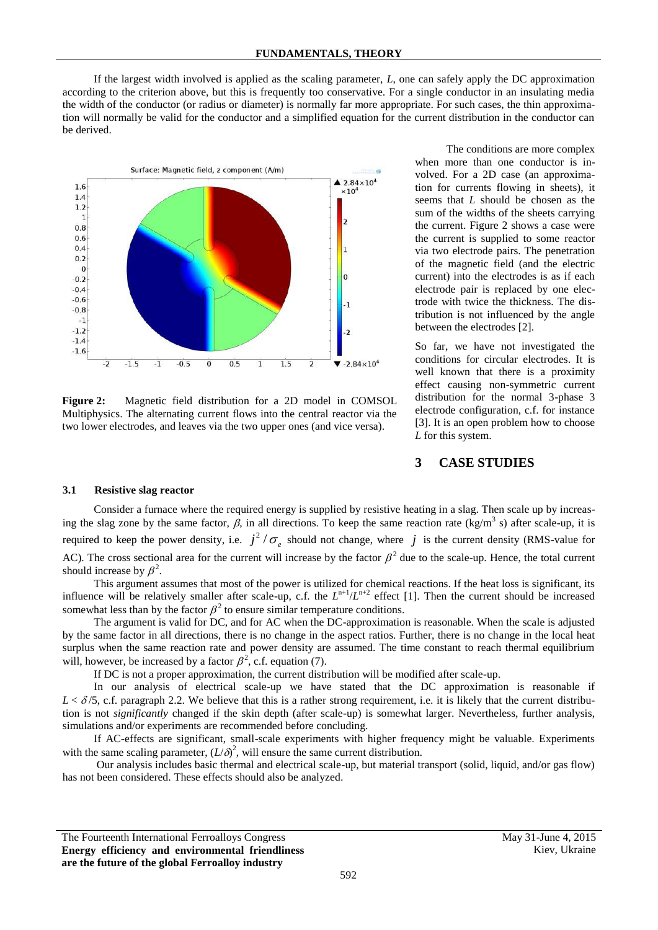If the largest width involved is applied as the scaling parameter, *L*, one can safely apply the DC approximation according to the criterion above, but this is frequently too conservative. For a single conductor in an insulating media the width of the conductor (or radius or diameter) is normally far more appropriate. For such cases, the thin approximation will normally be valid for the conductor and a simplified equation for the current distribution in the conductor can be derived.



**Figure 2:** Magnetic field distribution for a 2D model in COMSOL Multiphysics. The alternating current flows into the central reactor via the two lower electrodes, and leaves via the two upper ones (and vice versa).

The conditions are more complex when more than one conductor is involved. For a 2D case (an approximation for currents flowing in sheets), it seems that *L* should be chosen as the sum of the widths of the sheets carrying the current. Figure 2 shows a case were the current is supplied to some reactor via two electrode pairs. The penetration of the magnetic field (and the electric current) into the electrodes is as if each electrode pair is replaced by one electrode with twice the thickness. The distribution is not influenced by the angle between the electrodes [\[2\].](#page-9-1)

So far, we have not investigated the conditions for circular electrodes. It is well known that there is a proximity effect causing non-symmetric current distribution for the normal 3-phase 3 electrode configuration, c.f. for instance [\[3\].](#page-9-2) It is an open problem how to choose *L* for this system.

# **3 CASE STUDIES**

#### **3.1 Resistive slag reactor**

Consider a furnace where the required energy is supplied by resistive heating in a slag. Then scale up by increasing the slag zone by the same factor,  $\beta$ , in all directions. To keep the same reaction rate (kg/m<sup>3</sup> s) after scale-up, it is required to keep the power density, i.e.  $j^2/\sigma_e$  should not change, where j is the current density (RMS-value for AC). The cross sectional area for the current will increase by the factor  $\beta^2$  due to the scale-up. Hence, the total current should increase by  $\beta^2$ .

This argument assumes that most of the power is utilized for chemical reactions. If the heat loss is significant, its influence will be relatively smaller after scale-up, c.f. the  $L^{n+1}/L^{n+2}$  effect [\[1\].](#page-9-0) Then the current should be increased somewhat less than by the factor  $\beta^2$  to ensure similar temperature conditions.

The argument is valid for DC, and for AC when the DC-approximation is reasonable. When the scale is adjusted by the same factor in all directions, there is no change in the aspect ratios. Further, there is no change in the local heat surplus when the same reaction rate and power density are assumed. The time constant to reach thermal equilibrium will, however, be increased by a factor  $\beta^2$ , c.f. equation (7).

If DC is not a proper approximation, the current distribution will be modified after scale-up.

In our analysis of electrical scale-up we have stated that the DC approximation is reasonable if  $L < \delta/5$ , c.f. paragraph 2.2. We believe that this is a rather strong requirement, i.e. it is likely that the current distribution is not *significantly* changed if the skin depth (after scale-up) is somewhat larger. Nevertheless, further analysis, simulations and/or experiments are recommended before concluding.

If AC-effects are significant, small-scale experiments with higher frequency might be valuable. Experiments with the same scaling parameter,  $(L/\delta)^2$ , will ensure the same current distribution.

Our analysis includes basic thermal and electrical scale-up, but material transport (solid, liquid, and/or gas flow) has not been considered. These effects should also be analyzed.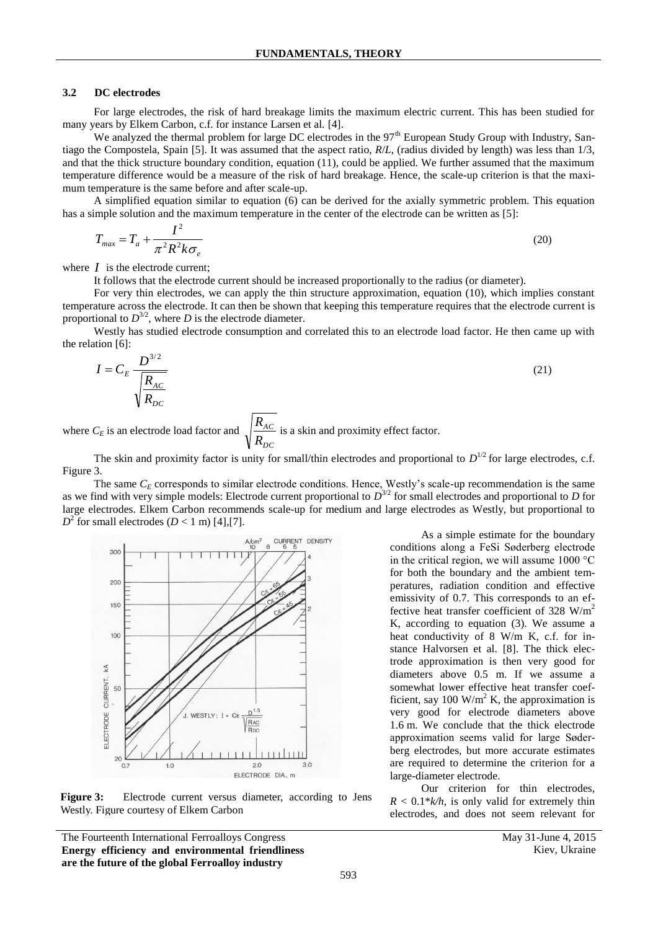#### **3.2 DC electrodes**

For large electrodes, the risk of hard breakage limits the maximum electric current. This has been studied for many years by Elkem Carbon, c.f. for instance Larsen et al. [\[4\].](#page-9-3)

We analyzed the thermal problem for large DC electrodes in the  $97<sup>th</sup>$  European Study Group with Industry, Santiago the Compostela, Spain [\[5\].](#page-9-4) It was assumed that the aspect ratio, *R*/*L*, (radius divided by length) was less than 1/3, and that the thick structure boundary condition, equation  $(11)$ , could be applied. We further assumed that the maximum temperature difference would be a measure of the risk of hard breakage. Hence, the scale-up criterion is that the maximum temperature is the same before and after scale-up.

A simplified equation similar to equation (6) can be derived for the axially symmetric problem. This equation has a simple solution and the maximum temperature in the center of the electrode can be written as [\[5\]:](#page-9-4)

$$
T_{max} = T_a + \frac{I^2}{\pi^2 R^2 k \sigma_e}
$$
 (20)

where  $I$  is the electrode current;

It follows that the electrode current should be increased proportionally to the radius (or diameter).

For very thin electrodes, we can apply the thin structure approximation, equation (10), which implies constant temperature across the electrode. It can then be shown that keeping this temperature requires that the electrode current is proportional to  $D^{3/2}$ , where *D* is the electrode diameter.

Westly has studied electrode consumption and correlated this to an electrode load factor. He then came up with the relation [\[6\]:](#page-9-5)

$$
I = C_E \frac{D^{3/2}}{\sqrt{\frac{R_{AC}}{R_{DC}}}}
$$
 (21)

where  $C_E$  is an electrode load factor and *DC AC R*  $\frac{R_{AC}}{R_{AC}}$  is a skin and proximity effect factor.

The skin and proximity factor is unity for small/thin electrodes and proportional to  $D^{1/2}$  for large electrodes, c.f. Figure 3.

The same  $C_E$  corresponds to similar electrode conditions. Hence, Westly's scale-up recommendation is the same as we find with very simple models: Electrode current proportional to  $D^{3/2}$  for small electrodes and proportional to *D* for large electrodes. Elkem Carbon recommends scale-up for medium and large electrodes as Westly, but proportional to  $D^2$  for small electrodes (*D* < 1 m) [\[4\]](#page-9-3)[,\[7\].](#page-9-6)



**Figure 3:** Electrode current versus diameter, according to Jens Westly. Figure courtesy of Elkem Carbon

The Fourteenth International Ferroalloys Congress May 31-June 4, 2015 **Energy efficiency and environmental friendliness are the future of the global Ferroalloy industry**

As a simple estimate for the boundary conditions along a FeSi Søderberg electrode in the critical region, we will assume 1000 °C for both the boundary and the ambient temperatures, radiation condition and effective emissivity of 0.7. This corresponds to an effective heat transfer coefficient of 328  $W/m^2$ K, according to equation (3). We assume a heat conductivity of 8 W/m K, c.f. for instance Halvorsen et al. [\[8\].](#page-9-7) The thick electrode approximation is then very good for diameters above 0.5 m. If we assume a somewhat lower effective heat transfer coefficient, say 100 W/m<sup>2</sup> K, the approximation is very good for electrode diameters above 1.6 m. We conclude that the thick electrode approximation seems valid for large Søderberg electrodes, but more accurate estimates are required to determine the criterion for a large-diameter electrode.

Our criterion for thin electrodes,  $R < 0.1$ <sup>\*</sup> $k/h$ , is only valid for extremely thin electrodes, and does not seem relevant for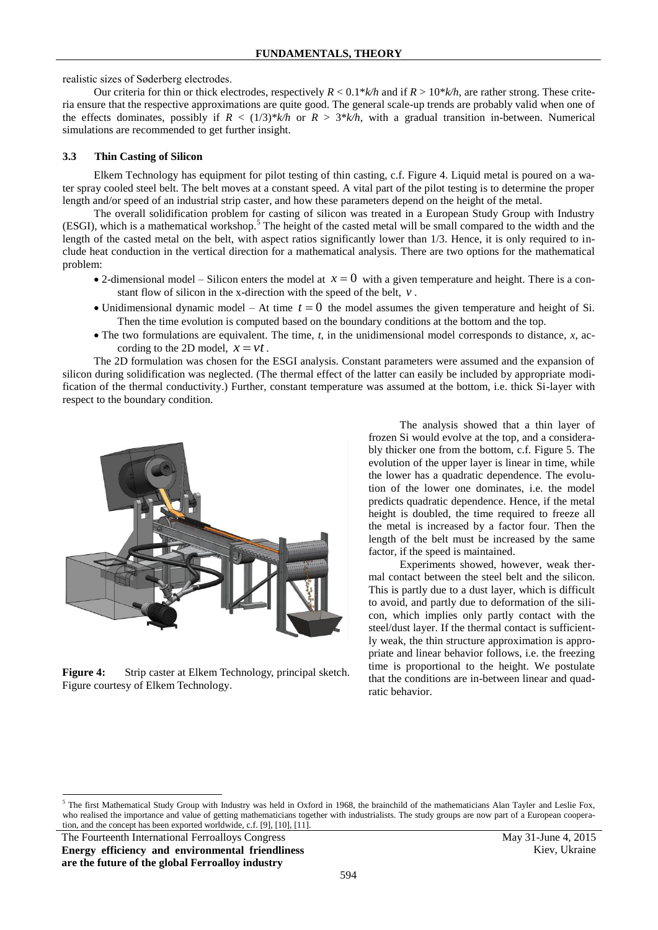realistic sizes of Søderberg electrodes.

Our criteria for thin or thick electrodes, respectively  $R < 0.1$ <sup>\*</sup> $k/h$  and if  $R > 10$ <sup>\*</sup> $k/h$ , are rather strong. These criteria ensure that the respective approximations are quite good. The general scale-up trends are probably valid when one of the effects dominates, possibly if  $R < (1/3)^* k/h$  or  $R > 3^* k/h$ , with a gradual transition in-between. Numerical simulations are recommended to get further insight.

#### **3.3 Thin Casting of Silicon**

Elkem Technology has equipment for pilot testing of thin casting, c.f. Figure 4. Liquid metal is poured on a water spray cooled steel belt. The belt moves at a constant speed. A vital part of the pilot testing is to determine the proper length and/or speed of an industrial strip caster, and how these parameters depend on the height of the metal.

The overall solidification problem for casting of silicon was treated in a European Study Group with Industry (ESGI), which is a mathematical workshop.<sup>5</sup> The height of the casted metal will be small compared to the width and the length of the casted metal on the belt, with aspect ratios significantly lower than 1/3. Hence, it is only required to include heat conduction in the vertical direction for a mathematical analysis. There are two options for the mathematical problem:

- 2-dimensional model Silicon enters the model at  $x = 0$  with a given temperature and height. There is a constant flow of silicon in the x-direction with the speed of the belt,  $\nu$ .
- Unidimensional dynamic model At time  $t = 0$  the model assumes the given temperature and height of Si. Then the time evolution is computed based on the boundary conditions at the bottom and the top.
- The two formulations are equivalent. The time, *t*, in the unidimensional model corresponds to distance, *x*, according to the 2D model,  $x = vt$ .

The 2D formulation was chosen for the ESGI analysis. Constant parameters were assumed and the expansion of silicon during solidification was neglected. (The thermal effect of the latter can easily be included by appropriate modification of the thermal conductivity.) Further, constant temperature was assumed at the bottom, i.e. thick Si-layer with respect to the boundary condition.



**Figure 4:** Strip caster at Elkem Technology, principal sketch. Figure courtesy of Elkem Technology.

The analysis showed that a thin layer of frozen Si would evolve at the top, and a considerably thicker one from the bottom, c.f. Figure 5. The evolution of the upper layer is linear in time, while the lower has a quadratic dependence. The evolution of the lower one dominates, i.e. the model predicts quadratic dependence. Hence, if the metal height is doubled, the time required to freeze all the metal is increased by a factor four. Then the length of the belt must be increased by the same factor, if the speed is maintained.

Experiments showed, however, weak thermal contact between the steel belt and the silicon. This is partly due to a dust layer, which is difficult to avoid, and partly due to deformation of the silicon, which implies only partly contact with the steel/dust layer. If the thermal contact is sufficiently weak, the thin structure approximation is appropriate and linear behavior follows, i.e. the freezing time is proportional to the height. We postulate that the conditions are in-between linear and quadratic behavior.

The Fourteenth International Ferroalloys Congress May 31-June 4, 2015 **Energy efficiency and environmental friendliness are the future of the global Ferroalloy industry**

-

Kiev, Ukraine

<sup>&</sup>lt;sup>5</sup> The first Mathematical Study Group with Industry was held in Oxford in 1968, the brainchild of the mathematicians Alan Tayler and Leslie Fox, who realised the importance and value of getting mathematicians together with industrialists. The study groups are now part of a European cooperation, and the concept has been exported worldwide, c.f[. \[9\],](#page-9-8) [\[10\],](#page-9-9) [\[11\].](#page-9-10)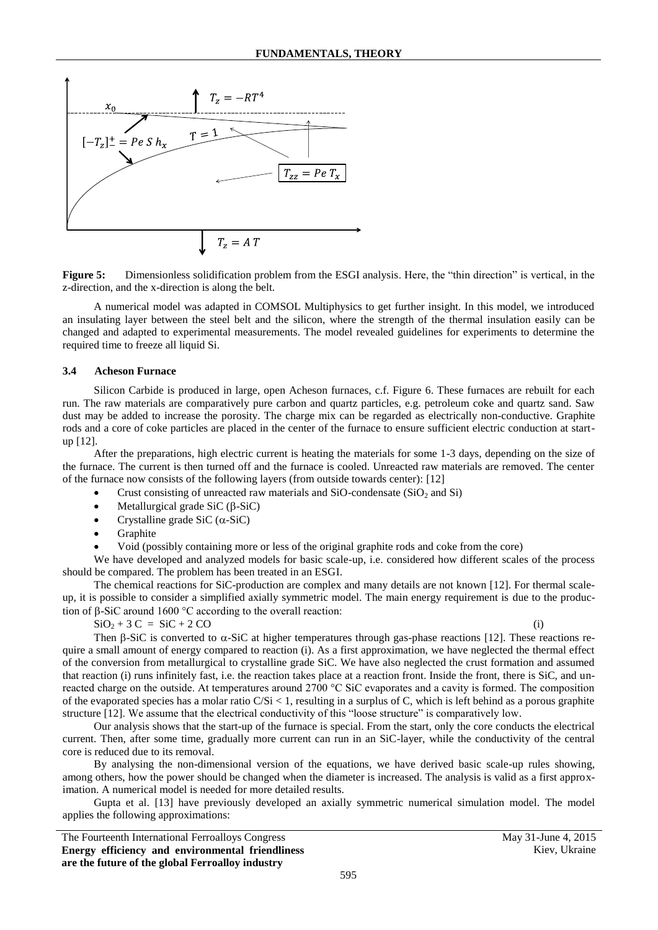

**Figure 5:** Dimensionless solidification problem from the ESGI analysis. Here, the "thin direction" is vertical, in the z-direction, and the x-direction is along the belt.

A numerical model was adapted in COMSOL Multiphysics to get further insight. In this model, we introduced an insulating layer between the steel belt and the silicon, where the strength of the thermal insulation easily can be changed and adapted to experimental measurements. The model revealed guidelines for experiments to determine the required time to freeze all liquid Si.

#### **3.4 Acheson Furnace**

Silicon Carbide is produced in large, open Acheson furnaces, c.f. Figure 6. These furnaces are rebuilt for each run. The raw materials are comparatively pure carbon and quartz particles, e.g. petroleum coke and quartz sand. Saw dust may be added to increase the porosity. The charge mix can be regarded as electrically non-conductive. Graphite rods and a core of coke particles are placed in the center of the furnace to ensure sufficient electric conduction at startup [\[12\].](#page-9-11)

After the preparations, high electric current is heating the materials for some 1-3 days, depending on the size of the furnace. The current is then turned off and the furnace is cooled. Unreacted raw materials are removed. The center of the furnace now consists of the following layers (from outside towards center): [\[12\]](#page-9-11)

- Crust consisting of unreacted raw materials and  $SiO$ -condensate  $(SiO<sub>2</sub>$  and  $Si)$
- Metallurgical grade SiC  $(\beta-SiC)$
- Crystalline grade SiC  $(\alpha$ -SiC)
- Graphite
- Void (possibly containing more or less of the original graphite rods and coke from the core)

We have developed and analyzed models for basic scale-up, i.e. considered how different scales of the process should be compared. The problem has been treated in an ESGI.

The chemical reactions for SiC-production are complex and many details are not known [\[12\].](#page-9-11) For thermal scaleup, it is possible to consider a simplified axially symmetric model. The main energy requirement is due to the production of  $\beta$ -SiC around 1600 °C according to the overall reaction:

 $\text{SiO}_2 + 3 \text{ C} = \text{SiC} + 2 \text{ CO}$  (i)

Then  $\beta$ -SiC is converted to  $\alpha$ -SiC at higher temperatures through gas-phase reactions [\[12\].](#page-9-11) These reactions require a small amount of energy compared to reaction (i). As a first approximation, we have neglected the thermal effect of the conversion from metallurgical to crystalline grade SiC. We have also neglected the crust formation and assumed that reaction (i) runs infinitely fast, i.e. the reaction takes place at a reaction front. Inside the front, there is SiC, and unreacted charge on the outside. At temperatures around 2700 °C SiC evaporates and a cavity is formed. The composition of the evaporated species has a molar ratio  $C/Si < 1$ , resulting in a surplus of C, which is left behind as a porous graphite structure [\[12\].](#page-9-11) We assume that the electrical conductivity of this "loose structure" is comparatively low.

Our analysis shows that the start-up of the furnace is special. From the start, only the core conducts the electrical current. Then, after some time, gradually more current can run in an SiC-layer, while the conductivity of the central core is reduced due to its removal.

By analysing the non-dimensional version of the equations, we have derived basic scale-up rules showing, among others, how the power should be changed when the diameter is increased. The analysis is valid as a first approximation. A numerical model is needed for more detailed results.

Gupta et al. [\[13\]](#page-9-12) have previously developed an axially symmetric numerical simulation model. The model applies the following approximations: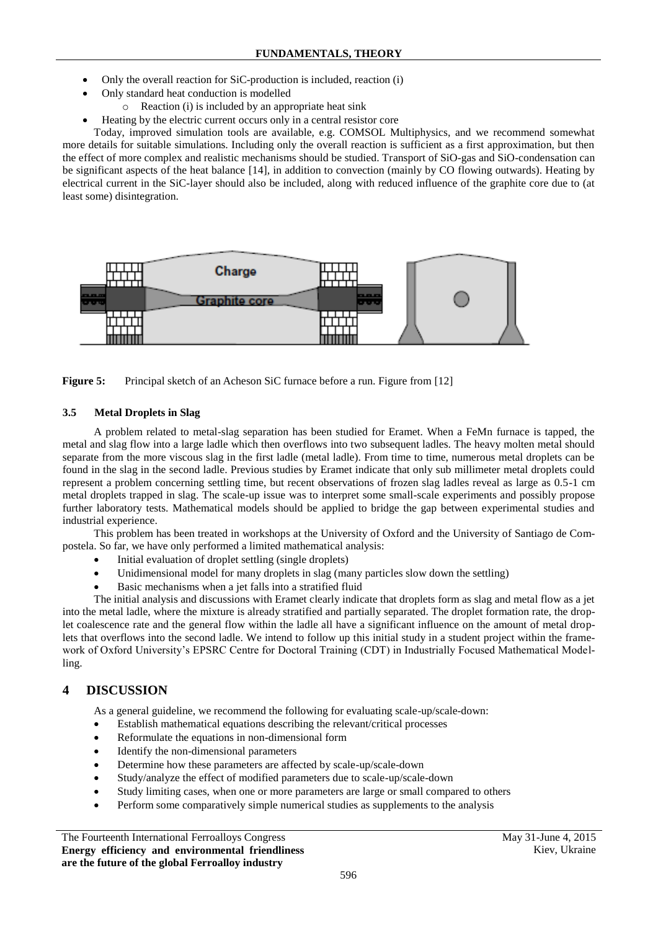- Only the overall reaction for SiC-production is included, reaction (i)
- Only standard heat conduction is modelled
	- o Reaction (i) is included by an appropriate heat sink
- Heating by the electric current occurs only in a central resistor core

Today, improved simulation tools are available, e.g. COMSOL Multiphysics, and we recommend somewhat more details for suitable simulations. Including only the overall reaction is sufficient as a first approximation, but then the effect of more complex and realistic mechanisms should be studied. Transport of SiO-gas and SiO-condensation can be significant aspects of the heat balance [\[14\],](#page-9-13) in addition to convection (mainly by CO flowing outwards). Heating by electrical current in the SiC-layer should also be included, along with reduced influence of the graphite core due to (at least some) disintegration.





### **3.5 Metal Droplets in Slag**

A problem related to metal-slag separation has been studied for Eramet. When a FeMn furnace is tapped, the metal and slag flow into a large ladle which then overflows into two subsequent ladles. The heavy molten metal should separate from the more viscous slag in the first ladle (metal ladle). From time to time, numerous metal droplets can be found in the slag in the second ladle. Previous studies by Eramet indicate that only sub millimeter metal droplets could represent a problem concerning settling time, but recent observations of frozen slag ladles reveal as large as 0.5-1 cm metal droplets trapped in slag. The scale-up issue was to interpret some small-scale experiments and possibly propose further laboratory tests. Mathematical models should be applied to bridge the gap between experimental studies and industrial experience.

This problem has been treated in workshops at the University of Oxford and the University of Santiago de Compostela. So far, we have only performed a limited mathematical analysis:

- Initial evaluation of droplet settling (single droplets)
- Unidimensional model for many droplets in slag (many particles slow down the settling)
- Basic mechanisms when a jet falls into a stratified fluid

The initial analysis and discussions with Eramet clearly indicate that droplets form as slag and metal flow as a jet into the metal ladle, where the mixture is already stratified and partially separated. The droplet formation rate, the droplet coalescence rate and the general flow within the ladle all have a significant influence on the amount of metal droplets that overflows into the second ladle. We intend to follow up this initial study in a student project within the framework of Oxford University's EPSRC Centre for Doctoral Training (CDT) in Industrially Focused Mathematical Modelling.

# **4 DISCUSSION**

As a general guideline, we recommend the following for evaluating scale-up/scale-down:

- Establish mathematical equations describing the relevant/critical processes
- Reformulate the equations in non-dimensional form
- Identify the non-dimensional parameters
- Determine how these parameters are affected by scale-up/scale-down
- Study/analyze the effect of modified parameters due to scale-up/scale-down
- Study limiting cases, when one or more parameters are large or small compared to others
- Perform some comparatively simple numerical studies as supplements to the analysis